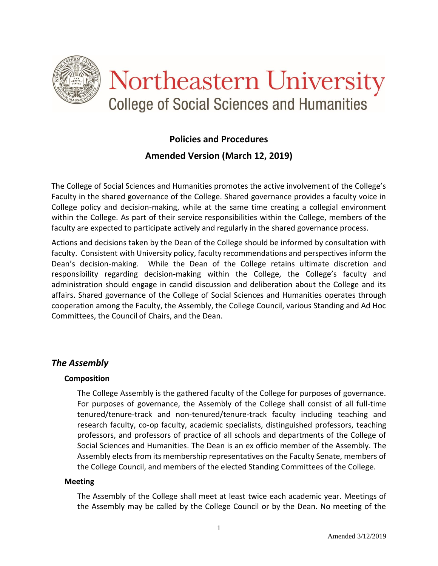

# **Policies and Procedures Amended Version (March 12, 2019)**

The College of Social Sciences and Humanities promotes the active involvement of the College's Faculty in the shared governance of the College. Shared governance provides a faculty voice in College policy and decision-making, while at the same time creating a collegial environment within the College. As part of their service responsibilities within the College, members of the faculty are expected to participate actively and regularly in the shared governance process.

Actions and decisions taken by the Dean of the College should be informed by consultation with faculty. Consistent with University policy, faculty recommendations and perspectives inform the Dean's decision-making. While the Dean of the College retains ultimate discretion and responsibility regarding decision-making within the College, the College's faculty and administration should engage in candid discussion and deliberation about the College and its affairs. Shared governance of the College of Social Sciences and Humanities operates through cooperation among the Faculty, the Assembly, the College Council, various Standing and Ad Hoc Committees, the Council of Chairs, and the Dean.

### *The Assembly*

#### **Composition**

The College Assembly is the gathered faculty of the College for purposes of governance. For purposes of governance, the Assembly of the College shall consist of all full-time tenured/tenure-track and non-tenured/tenure-track faculty including teaching and research faculty, co-op faculty, academic specialists, distinguished professors, teaching professors, and professors of practice of all schools and departments of the College of Social Sciences and Humanities. The Dean is an ex officio member of the Assembly. The Assembly elects from its membership representatives on the Faculty Senate, members of the College Council, and members of the elected Standing Committees of the College.

#### **Meeting**

The Assembly of the College shall meet at least twice each academic year. Meetings of the Assembly may be called by the College Council or by the Dean. No meeting of the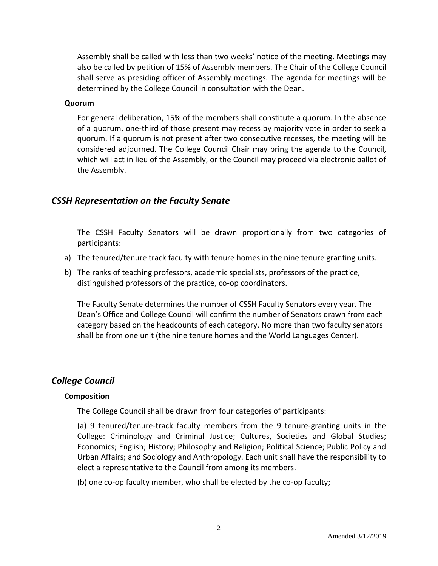Assembly shall be called with less than two weeks' notice of the meeting. Meetings may also be called by petition of 15% of Assembly members. The Chair of the College Council shall serve as presiding officer of Assembly meetings. The agenda for meetings will be determined by the College Council in consultation with the Dean.

#### **Quorum**

For general deliberation, 15% of the members shall constitute a quorum. In the absence of a quorum, one-third of those present may recess by majority vote in order to seek a quorum. If a quorum is not present after two consecutive recesses, the meeting will be considered adjourned. The College Council Chair may bring the agenda to the Council, which will act in lieu of the Assembly, or the Council may proceed via electronic ballot of the Assembly.

### *CSSH Representation on the Faculty Senate*

The CSSH Faculty Senators will be drawn proportionally from two categories of participants:

- a) The tenured/tenure track faculty with tenure homes in the nine tenure granting units.
- b) The ranks of teaching professors, academic specialists, professors of the practice, distinguished professors of the practice, co-op coordinators.

The Faculty Senate determines the number of CSSH Faculty Senators every year. The Dean's Office and College Council will confirm the number of Senators drawn from each category based on the headcounts of each category. No more than two faculty senators shall be from one unit (the nine tenure homes and the World Languages Center).

### *College Council*

### **Composition**

The College Council shall be drawn from four categories of participants:

(a) 9 tenured/tenure-track faculty members from the 9 tenure-granting units in the College: Criminology and Criminal Justice; Cultures, Societies and Global Studies; Economics; English; History; Philosophy and Religion; Political Science; Public Policy and Urban Affairs; and Sociology and Anthropology. Each unit shall have the responsibility to elect a representative to the Council from among its members.

(b) one co-op faculty member, who shall be elected by the co-op faculty;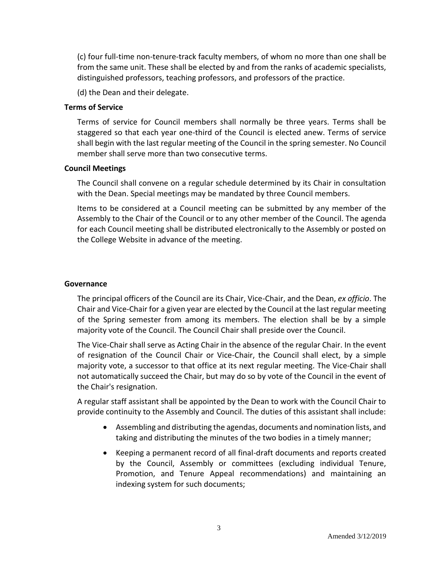(c) four full-time non-tenure-track faculty members, of whom no more than one shall be from the same unit. These shall be elected by and from the ranks of academic specialists, distinguished professors, teaching professors, and professors of the practice.

(d) the Dean and their delegate.

#### **Terms of Service**

Terms of service for Council members shall normally be three years. Terms shall be staggered so that each year one-third of the Council is elected anew. Terms of service shall begin with the last regular meeting of the Council in the spring semester. No Council member shall serve more than two consecutive terms.

#### **Council Meetings**

The Council shall convene on a regular schedule determined by its Chair in consultation with the Dean. Special meetings may be mandated by three Council members.

Items to be considered at a Council meeting can be submitted by any member of the Assembly to the Chair of the Council or to any other member of the Council. The agenda for each Council meeting shall be distributed electronically to the Assembly or posted on the College Website in advance of the meeting.

#### **Governance**

The principal officers of the Council are its Chair, Vice-Chair, and the Dean, *ex officio*. The Chair and Vice-Chair for a given year are elected by the Council at the last regular meeting of the Spring semester from among its members. The election shall be by a simple majority vote of the Council. The Council Chair shall preside over the Council.

The Vice-Chair shall serve as Acting Chair in the absence of the regular Chair. In the event of resignation of the Council Chair or Vice-Chair, the Council shall elect, by a simple majority vote, a successor to that office at its next regular meeting. The Vice-Chair shall not automatically succeed the Chair, but may do so by vote of the Council in the event of the Chair's resignation.

A regular staff assistant shall be appointed by the Dean to work with the Council Chair to provide continuity to the Assembly and Council. The duties of this assistant shall include:

- Assembling and distributing the agendas, documents and nomination lists, and taking and distributing the minutes of the two bodies in a timely manner;
- Keeping a permanent record of all final-draft documents and reports created by the Council, Assembly or committees (excluding individual Tenure, Promotion, and Tenure Appeal recommendations) and maintaining an indexing system for such documents;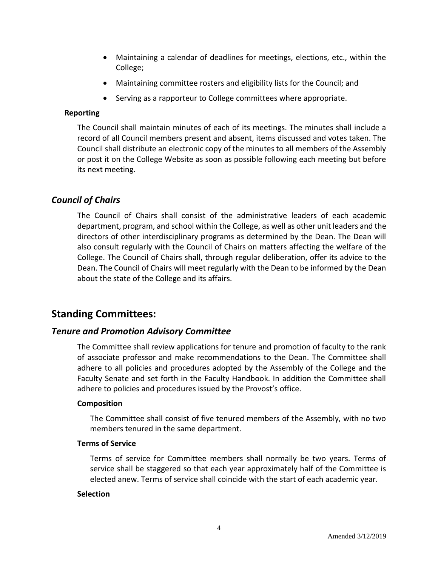- Maintaining a calendar of deadlines for meetings, elections, etc., within the College;
- Maintaining committee rosters and eligibility lists for the Council; and
- Serving as a rapporteur to College committees where appropriate.

### **Reporting**

The Council shall maintain minutes of each of its meetings. The minutes shall include a record of all Council members present and absent, items discussed and votes taken. The Council shall distribute an electronic copy of the minutes to all members of the Assembly or post it on the College Website as soon as possible following each meeting but before its next meeting.

### *Council of Chairs*

The Council of Chairs shall consist of the administrative leaders of each academic department, program, and school within the College, as well as other unit leaders and the directors of other interdisciplinary programs as determined by the Dean. The Dean will also consult regularly with the Council of Chairs on matters affecting the welfare of the College. The Council of Chairs shall, through regular deliberation, offer its advice to the Dean. The Council of Chairs will meet regularly with the Dean to be informed by the Dean about the state of the College and its affairs.

# **Standing Committees:**

### *Tenure and Promotion Advisory Committee*

The Committee shall review applications for tenure and promotion of faculty to the rank of associate professor and make recommendations to the Dean. The Committee shall adhere to all policies and procedures adopted by the Assembly of the College and the Faculty Senate and set forth in the Faculty Handbook. In addition the Committee shall adhere to policies and procedures issued by the Provost's office.

#### **Composition**

The Committee shall consist of five tenured members of the Assembly, with no two members tenured in the same department.

#### **Terms of Service**

Terms of service for Committee members shall normally be two years. Terms of service shall be staggered so that each year approximately half of the Committee is elected anew. Terms of service shall coincide with the start of each academic year.

#### **Selection**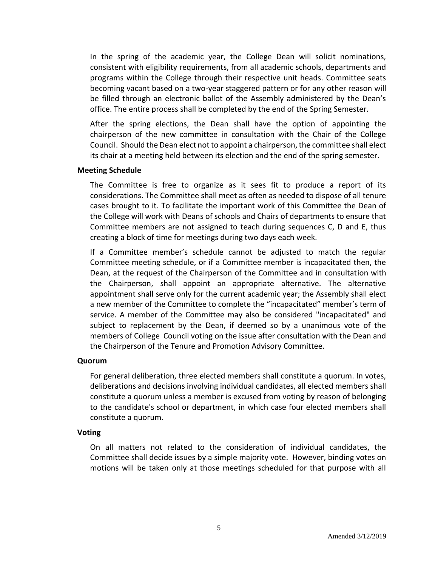In the spring of the academic year, the College Dean will solicit nominations, consistent with eligibility requirements, from all academic schools, departments and programs within the College through their respective unit heads. Committee seats becoming vacant based on a two-year staggered pattern or for any other reason will be filled through an electronic ballot of the Assembly administered by the Dean's office. The entire process shall be completed by the end of the Spring Semester.

After the spring elections, the Dean shall have the option of appointing the chairperson of the new committee in consultation with the Chair of the College Council. Should the Dean elect not to appoint a chairperson, the committee shall elect its chair at a meeting held between its election and the end of the spring semester.

#### **Meeting Schedule**

The Committee is free to organize as it sees fit to produce a report of its considerations. The Committee shall meet as often as needed to dispose of all tenure cases brought to it. To facilitate the important work of this Committee the Dean of the College will work with Deans of schools and Chairs of departments to ensure that Committee members are not assigned to teach during sequences C, D and E, thus creating a block of time for meetings during two days each week.

If a Committee member's schedule cannot be adjusted to match the regular Committee meeting schedule, or if a Committee member is incapacitated then, the Dean, at the request of the Chairperson of the Committee and in consultation with the Chairperson, shall appoint an appropriate alternative. The alternative appointment shall serve only for the current academic year; the Assembly shall elect a new member of the Committee to complete the "incapacitated" member's term of service. A member of the Committee may also be considered "incapacitated" and subject to replacement by the Dean, if deemed so by a unanimous vote of the members of College Council voting on the issue after consultation with the Dean and the Chairperson of the Tenure and Promotion Advisory Committee.

#### **Quorum**

For general deliberation, three elected members shall constitute a quorum. In votes, deliberations and decisions involving individual candidates, all elected members shall constitute a quorum unless a member is excused from voting by reason of belonging to the candidate's school or department, in which case four elected members shall constitute a quorum.

#### **Voting**

On all matters not related to the consideration of individual candidates, the Committee shall decide issues by a simple majority vote. However, binding votes on motions will be taken only at those meetings scheduled for that purpose with all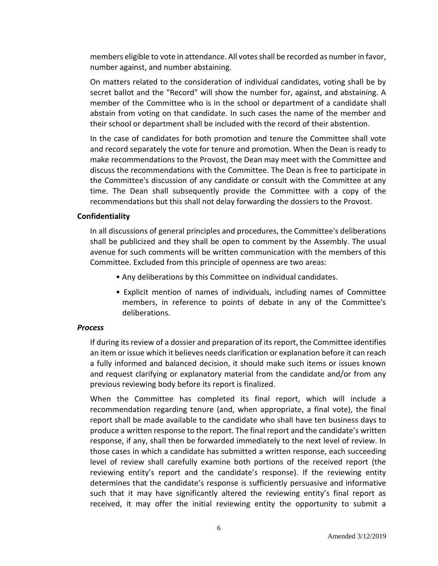members eligible to vote in attendance. All votes shall be recorded as number in favor, number against, and number abstaining.

On matters related to the consideration of individual candidates, voting shall be by secret ballot and the "Record" will show the number for, against, and abstaining. A member of the Committee who is in the school or department of a candidate shall abstain from voting on that candidate. In such cases the name of the member and their school or department shall be included with the record of their abstention.

In the case of candidates for both promotion and tenure the Committee shall vote and record separately the vote for tenure and promotion. When the Dean is ready to make recommendations to the Provost, the Dean may meet with the Committee and discuss the recommendations with the Committee. The Dean is free to participate in the Committee's discussion of any candidate or consult with the Committee at any time. The Dean shall subsequently provide the Committee with a copy of the recommendations but this shall not delay forwarding the dossiers to the Provost.

#### **Confidentiality**

In all discussions of general principles and procedures, the Committee's deliberations shall be publicized and they shall be open to comment by the Assembly. The usual avenue for such comments will be written communication with the members of this Committee. Excluded from this principle of openness are two areas:

- Any deliberations by this Committee on individual candidates.
- Explicit mention of names of individuals, including names of Committee members, in reference to points of debate in any of the Committee's deliberations.

#### *Process*

If during its review of a dossier and preparation of its report, the Committee identifies an item or issue which it believes needs clarification or explanation before it can reach a fully informed and balanced decision, it should make such items or issues known and request clarifying or explanatory material from the candidate and/or from any previous reviewing body before its report is finalized.

When the Committee has completed its final report, which will include a recommendation regarding tenure (and, when appropriate, a final vote), the final report shall be made available to the candidate who shall have ten business days to produce a written response to the report. The final report and the candidate's written response, if any, shall then be forwarded immediately to the next level of review. In those cases in which a candidate has submitted a written response, each succeeding level of review shall carefully examine both portions of the received report (the reviewing entity's report and the candidate's response). If the reviewing entity determines that the candidate's response is sufficiently persuasive and informative such that it may have significantly altered the reviewing entity's final report as received, it may offer the initial reviewing entity the opportunity to submit a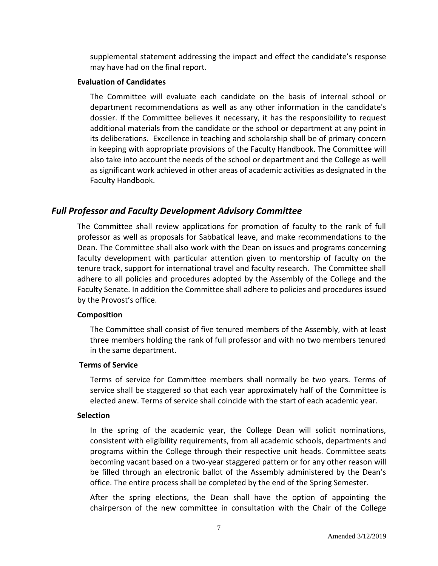supplemental statement addressing the impact and effect the candidate's response may have had on the final report.

#### **Evaluation of Candidates**

The Committee will evaluate each candidate on the basis of internal school or department recommendations as well as any other information in the candidate's dossier. If the Committee believes it necessary, it has the responsibility to request additional materials from the candidate or the school or department at any point in its deliberations. Excellence in teaching and scholarship shall be of primary concern in keeping with appropriate provisions of the Faculty Handbook. The Committee will also take into account the needs of the school or department and the College as well as significant work achieved in other areas of academic activities as designated in the Faculty Handbook.

### *Full Professor and Faculty Development Advisory Committee*

The Committee shall review applications for promotion of faculty to the rank of full professor as well as proposals for Sabbatical leave, and make recommendations to the Dean. The Committee shall also work with the Dean on issues and programs concerning faculty development with particular attention given to mentorship of faculty on the tenure track, support for international travel and faculty research. The Committee shall adhere to all policies and procedures adopted by the Assembly of the College and the Faculty Senate. In addition the Committee shall adhere to policies and procedures issued by the Provost's office.

#### **Composition**

The Committee shall consist of five tenured members of the Assembly, with at least three members holding the rank of full professor and with no two members tenured in the same department.

#### **Terms of Service**

Terms of service for Committee members shall normally be two years. Terms of service shall be staggered so that each year approximately half of the Committee is elected anew. Terms of service shall coincide with the start of each academic year.

#### **Selection**

In the spring of the academic year, the College Dean will solicit nominations, consistent with eligibility requirements, from all academic schools, departments and programs within the College through their respective unit heads. Committee seats becoming vacant based on a two-year staggered pattern or for any other reason will be filled through an electronic ballot of the Assembly administered by the Dean's office. The entire process shall be completed by the end of the Spring Semester.

After the spring elections, the Dean shall have the option of appointing the chairperson of the new committee in consultation with the Chair of the College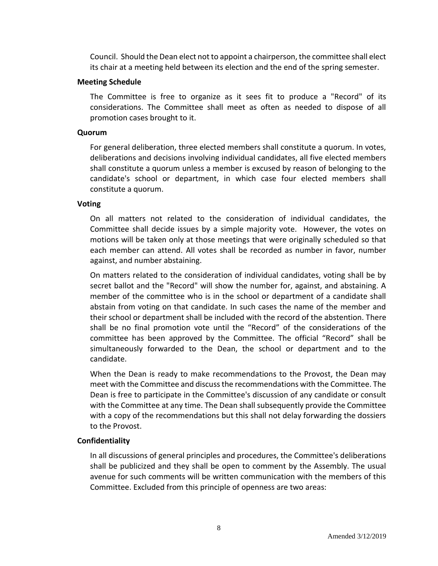Council. Should the Dean elect not to appoint a chairperson, the committee shall elect its chair at a meeting held between its election and the end of the spring semester.

#### **Meeting Schedule**

The Committee is free to organize as it sees fit to produce a "Record" of its considerations. The Committee shall meet as often as needed to dispose of all promotion cases brought to it.

#### **Quorum**

For general deliberation, three elected members shall constitute a quorum. In votes, deliberations and decisions involving individual candidates, all five elected members shall constitute a quorum unless a member is excused by reason of belonging to the candidate's school or department, in which case four elected members shall constitute a quorum.

#### **Voting**

On all matters not related to the consideration of individual candidates, the Committee shall decide issues by a simple majority vote. However, the votes on motions will be taken only at those meetings that were originally scheduled so that each member can attend. All votes shall be recorded as number in favor, number against, and number abstaining.

On matters related to the consideration of individual candidates, voting shall be by secret ballot and the "Record" will show the number for, against, and abstaining. A member of the committee who is in the school or department of a candidate shall abstain from voting on that candidate. In such cases the name of the member and their school or department shall be included with the record of the abstention. There shall be no final promotion vote until the "Record" of the considerations of the committee has been approved by the Committee. The official "Record" shall be simultaneously forwarded to the Dean, the school or department and to the candidate.

When the Dean is ready to make recommendations to the Provost, the Dean may meet with the Committee and discuss the recommendations with the Committee. The Dean is free to participate in the Committee's discussion of any candidate or consult with the Committee at any time. The Dean shall subsequently provide the Committee with a copy of the recommendations but this shall not delay forwarding the dossiers to the Provost.

#### **Confidentiality**

In all discussions of general principles and procedures, the Committee's deliberations shall be publicized and they shall be open to comment by the Assembly. The usual avenue for such comments will be written communication with the members of this Committee. Excluded from this principle of openness are two areas: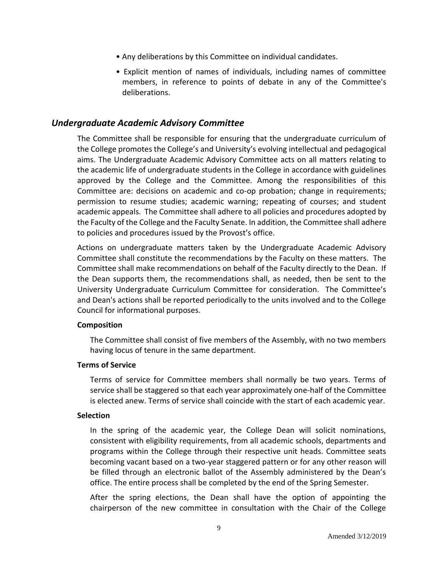- Any deliberations by this Committee on individual candidates.
- Explicit mention of names of individuals, including names of committee members, in reference to points of debate in any of the Committee's deliberations.

### *Undergraduate Academic Advisory Committee*

The Committee shall be responsible for ensuring that the undergraduate curriculum of the College promotes the College's and University's evolving intellectual and pedagogical aims. The Undergraduate Academic Advisory Committee acts on all matters relating to the academic life of undergraduate students in the College in accordance with guidelines approved by the College and the Committee. Among the responsibilities of this Committee are: decisions on academic and co-op probation; change in requirements; permission to resume studies; academic warning; repeating of courses; and student academic appeals. The Committee shall adhere to all policies and procedures adopted by the Faculty of the College and the Faculty Senate. In addition, the Committee shall adhere to policies and procedures issued by the Provost's office.

Actions on undergraduate matters taken by the Undergraduate Academic Advisory Committee shall constitute the recommendations by the Faculty on these matters. The Committee shall make recommendations on behalf of the Faculty directly to the Dean. If the Dean supports them, the recommendations shall, as needed, then be sent to the University Undergraduate Curriculum Committee for consideration. The Committee's and Dean's actions shall be reported periodically to the units involved and to the College Council for informational purposes.

#### **Composition**

The Committee shall consist of five members of the Assembly, with no two members having locus of tenure in the same department.

#### **Terms of Service**

Terms of service for Committee members shall normally be two years. Terms of service shall be staggered so that each year approximately one-half of the Committee is elected anew. Terms of service shall coincide with the start of each academic year.

#### **Selection**

In the spring of the academic year, the College Dean will solicit nominations, consistent with eligibility requirements, from all academic schools, departments and programs within the College through their respective unit heads. Committee seats becoming vacant based on a two-year staggered pattern or for any other reason will be filled through an electronic ballot of the Assembly administered by the Dean's office. The entire process shall be completed by the end of the Spring Semester.

After the spring elections, the Dean shall have the option of appointing the chairperson of the new committee in consultation with the Chair of the College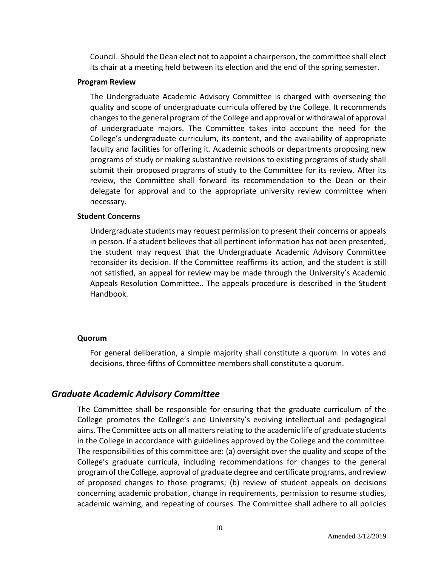Council. Should the Dean elect not to appoint a chairperson, the committee shall elect its chair at a meeting held between its election and the end of the spring semester.

#### **Program Review**

The Undergraduate Academic Advisory Committee is charged with overseeing the quality and scope of undergraduate curricula offered by the College. It recommends changes to the general program of the College and approval or withdrawal of approval of undergraduate majors. The Committee takes into account the need for the College's undergraduate curriculum, its content, and the availability of appropriate faculty and facilities for offering it. Academic schools or departments proposing new programs of study or making substantive revisions to existing programs of study shall submit their proposed programs of study to the Committee for its review. After its review, the Committee shall forward its recommendation to the Dean or their delegate for approval and to the appropriate university review committee when necessary.

#### **Student Concerns**

Undergraduate students may request permission to present their concerns or appeals in person. If a student believes that all pertinent information has not been presented, the student may request that the Undergraduate Academic Advisory Committee reconsider its decision. If the Committee reaffirms its action, and the student is still not satisfied, an appeal for review may be made through the University's Academic Appeals Resolution Committee.. The appeals procedure is described in the Student Handbook.

#### **Quorum**

For general deliberation, a simple majority shall constitute a quorum. In votes and decisions, three-fifths of Committee members shall constitute a quorum.

### *Graduate Academic Advisory Committee*

The Committee shall be responsible for ensuring that the graduate curriculum of the College promotes the College's and University's evolving intellectual and pedagogical aims. The Committee acts on all matters relating to the academic life of graduate students in the College in accordance with guidelines approved by the College and the committee. The responsibilities of this committee are: (a) oversight over the quality and scope of the College's graduate curricula, including recommendations for changes to the general program of the College, approval of graduate degree and certificate programs, and review of proposed changes to those programs; (b) review of student appeals on decisions concerning academic probation, change in requirements, permission to resume studies, academic warning, and repeating of courses. The Committee shall adhere to all policies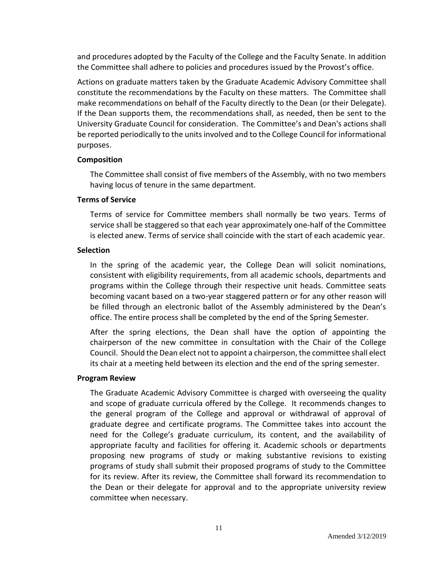and procedures adopted by the Faculty of the College and the Faculty Senate. In addition the Committee shall adhere to policies and procedures issued by the Provost's office.

Actions on graduate matters taken by the Graduate Academic Advisory Committee shall constitute the recommendations by the Faculty on these matters. The Committee shall make recommendations on behalf of the Faculty directly to the Dean (or their Delegate). If the Dean supports them, the recommendations shall, as needed, then be sent to the University Graduate Council for consideration. The Committee's and Dean's actions shall be reported periodically to the units involved and to the College Council for informational purposes.

#### **Composition**

The Committee shall consist of five members of the Assembly, with no two members having locus of tenure in the same department.

#### **Terms of Service**

Terms of service for Committee members shall normally be two years. Terms of service shall be staggered so that each year approximately one-half of the Committee is elected anew. Terms of service shall coincide with the start of each academic year.

#### **Selection**

In the spring of the academic year, the College Dean will solicit nominations, consistent with eligibility requirements, from all academic schools, departments and programs within the College through their respective unit heads. Committee seats becoming vacant based on a two-year staggered pattern or for any other reason will be filled through an electronic ballot of the Assembly administered by the Dean's office. The entire process shall be completed by the end of the Spring Semester.

After the spring elections, the Dean shall have the option of appointing the chairperson of the new committee in consultation with the Chair of the College Council. Should the Dean elect not to appoint a chairperson, the committee shall elect its chair at a meeting held between its election and the end of the spring semester.

#### **Program Review**

The Graduate Academic Advisory Committee is charged with overseeing the quality and scope of graduate curricula offered by the College. It recommends changes to the general program of the College and approval or withdrawal of approval of graduate degree and certificate programs. The Committee takes into account the need for the College's graduate curriculum, its content, and the availability of appropriate faculty and facilities for offering it. Academic schools or departments proposing new programs of study or making substantive revisions to existing programs of study shall submit their proposed programs of study to the Committee for its review. After its review, the Committee shall forward its recommendation to the Dean or their delegate for approval and to the appropriate university review committee when necessary.